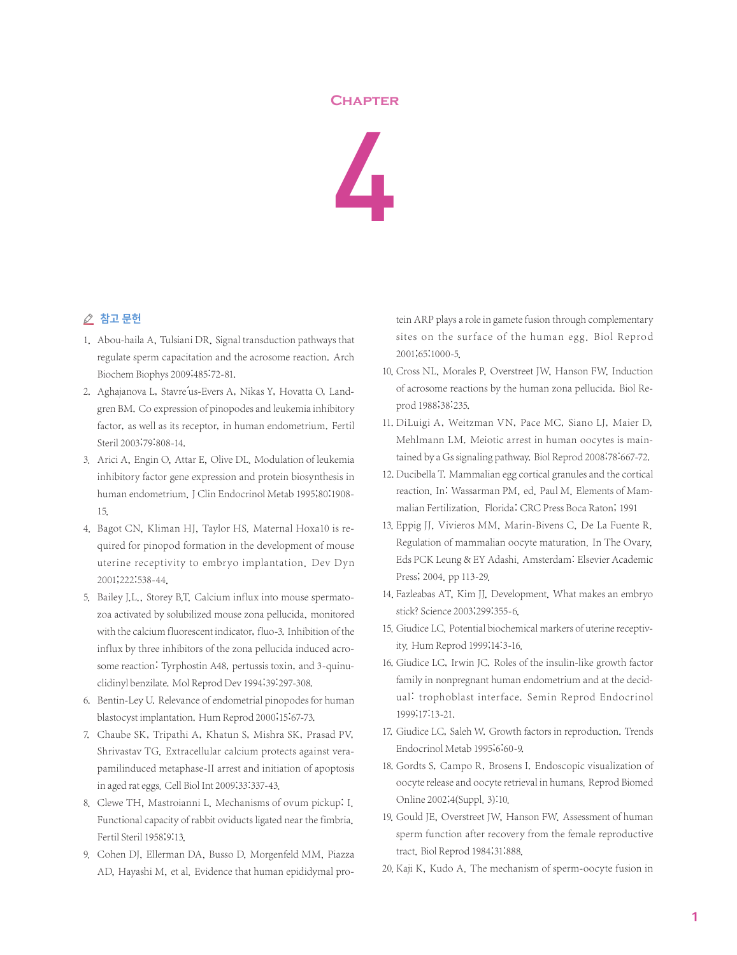## **Chapter**



## △ 참고 문헌

- 1. Abou-haila A, Tulsiani DR. Signal transduction pathways that regulate sperm capacitation and the acrosome reaction. Arch Biochem Biophys 2009;485:72-81.
- 2. Aghajanova L, Stavre'us-Evers A, Nikas Y, Hovatta O, Landgren BM. Co expression of pinopodes and leukemia inhibitory factor, as well as its receptor, in human endometrium. Fertil Steril 2003;79:808-14.
- 3. Arici A, Engin O, Attar E, Olive DL. Modulation of leukemia inhibitory factor gene expression and protein biosynthesis in human endometrium. J Clin Endocrinol Metab 1995;80:1908- 15.
- 4. Bagot CN, Kliman HJ, Taylor HS. Maternal Hoxa10 is required for pinopod formation in the development of mouse uterine receptivity to embryo implantation. Dev Dyn 2001;222:538-44.
- 5. Bailey J.L., Storey B.T. Calcium influx into mouse spermatozoa activated by solubilized mouse zona pellucida, monitored with the calcium fluorescent indicator, fluo-3. Inhibition of the influx by three inhibitors of the zona pellucida induced acrosome reaction: Tyrphostin A48, pertussis toxin, and 3-quinuclidinyl benzilate. Mol Reprod Dev 1994;39:297-308.
- 6. Bentin-Ley U. Relevance of endometrial pinopodes for human blastocyst implantation. Hum Reprod 2000;15:67-73.
- 7. Chaube SK, Tripathi A, Khatun S, Mishra SK, Prasad PV, Shrivastav TG. Extracellular calcium protects against verapamilinduced metaphase-II arrest and initiation of apoptosis in aged rat eggs. Cell Biol Int 2009;33:337-43.
- 8. Clewe TH, Mastroianni L. Mechanisms of ovum pickup: I. Functional capacity of rabbit oviducts ligated near the fimbria. Fertil Steril 1958;9:13.
- 9. Cohen DJ, Ellerman DA, Busso D, Morgenfeld MM, Piazza AD, Hayashi M, et al. Evidence that human epididymal pro-

tein ARP plays a role in gamete fusion through complementary sites on the surface of the human egg. Biol Reprod 2001;65:1000-5.

- 10. Cross NL, Morales P, Overstreet JW, Hanson FW. Induction of acrosome reactions by the human zona pellucida. Biol Reprod 1988;38:235.
- 11. DiLuigi A, Weitzman VN, Pace MC, Siano LJ, Maier D, Mehlmann LM. Meiotic arrest in human oocytes is maintained by a Gs signaling pathway. Biol Reprod 2008;78:667-72.
- 12. Ducibella T. Mammalian egg cortical granules and the cortical reaction. In: Wassarman PM, ed. Paul M. Elements of Mammalian Fertilization. Florida: CRC Press Boca Raton; 1991
- 13. Eppig JJ, Vivieros MM, Marin-Bivens C, De La Fuente R. Regulation of mammalian oocyte maturation. In The Ovary, Eds PCK Leung & EY Adashi. Amsterdam: Elsevier Academic Press; 2004. pp 113-29.
- 14. Fazleabas AT, Kim JJ. Development. What makes an embryo stick? Science 2003;299:355-6.
- 15. Giudice LC. Potential biochemical markers of uterine receptivity. Hum Reprod 1999;14:3-16.
- 16. Giudice LC, Irwin JC. Roles of the insulin-like growth factor family in nonpregnant human endometrium and at the decidual: trophoblast interface. Semin Reprod Endocrinol 1999;17:13-21.
- 17. Giudice LC, Saleh W. Growth factors in reproduction. Trends Endocrinol Metab 1995;6:60-9.
- 18. Gordts S, Campo R, Brosens I. Endoscopic visualization of oocyte release and oocyte retrieval in humans. Reprod Biomed Online 2002;4(Suppl. 3):10.
- 19. Gould JE, Overstreet JW, Hanson FW. Assessment of human sperm function after recovery from the female reproductive tract. Biol Reprod 1984;31:888.
- 20. Kaji K, Kudo A. The mechanism of sperm-oocyte fusion in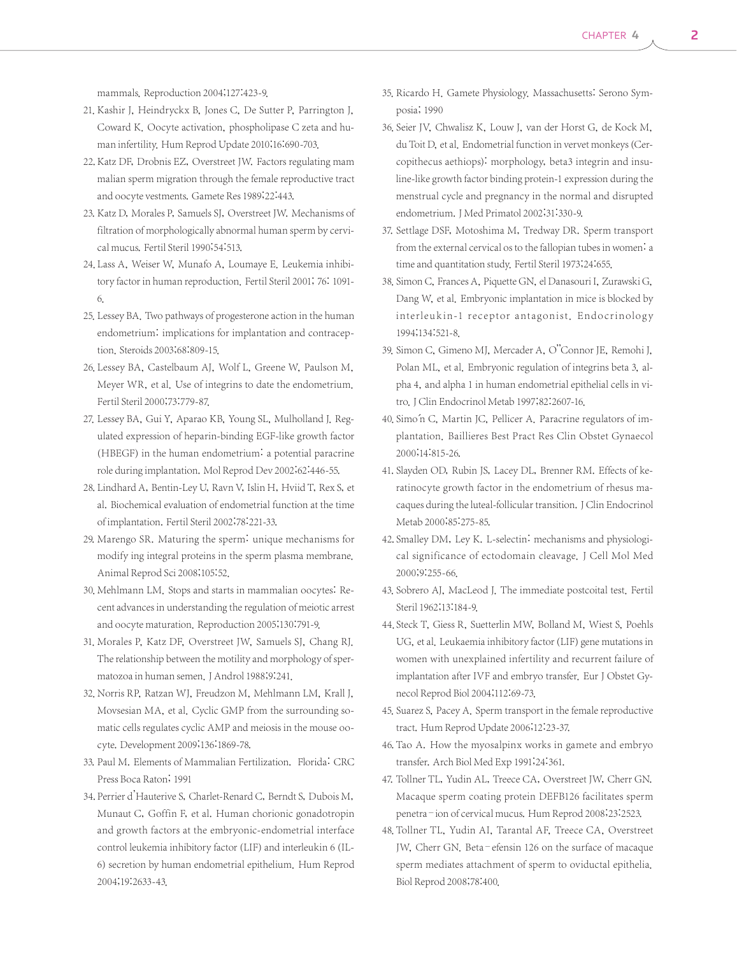- 21. Kashir J, Heindryckx B, Jones C, De Sutter P, Parrington J, Coward K. Oocyte activation, phospholipase C zeta and human infertility. Hum Reprod Update 2010;16:690-703.
- 22. Katz DF, Drobnis EZ, Overstreet JW. Factors regulating mam malian sperm migration through the female reproductive tract and oocyte vestments. Gamete Res 1989;22:443.
- 23. Katz D, Morales P, Samuels SJ, Overstreet JW. Mechanisms of filtration of morphologically abnormal human sperm by cervical mucus. Fertil Steril 1990;54:513.
- 24. Lass A, Weiser W, Munafo A, Loumaye E. Leukemia inhibitory factor in human reproduction. Fertil Steril 2001; 76: 1091- 6.
- 25. Lessey BA. Two pathways of progesterone action in the human endometrium: implications for implantation and contraception. Steroids 2003;68:809-15.
- 26. Lessey BA, Castelbaum AJ, Wolf L, Greene W, Paulson M, Meyer WR, et al. Use of integrins to date the endometrium. Fertil Steril 2000;73:779-87.
- 27. Lessey BA, Gui Y, Aparao KB, Young SL, Mulholland J. Regulated expression of heparin-binding EGF-like growth factor (HBEGF) in the human endometrium: a potential paracrine role during implantation. Mol Reprod Dev 2002;62:446-55.
- 28. Lindhard A, Bentin-Ley U, Ravn V, Islin H, Hviid T, Rex S, et al. Biochemical evaluation of endometrial function at the time of implantation. Fertil Steril 2002;78:221-33.
- 29. Marengo SR. Maturing the sperm: unique mechanisms for modify ing integral proteins in the sperm plasma membrane. Animal Reprod Sci 2008;105:52.
- 30. Mehlmann LM. Stops and starts in mammalian oocytes: Recent advances in understanding the regulation of meiotic arrest and oocyte maturation. Reproduction 2005;130:791-9.
- 31. Morales P, Katz DF, Overstreet JW, Samuels SJ, Chang RJ. The relationship between the motility and morphology of spermatozoa in human semen.J Androl 1988;9:241.
- 32. Norris RP, Ratzan WJ, Freudzon M, Mehlmann LM, Krall J, Movsesian MA, et al. Cyclic GMP from the surrounding somatic cells regulates cyclic AMP and meiosis in the mouse oocyte. Development 2009;136:1869-78.
- 33. Paul M. Elements of Mammalian Fertilization. Florida: CRC Press Boca Raton; 1991
- 34. Perrier d'Hauterive S, Charlet-Renard C, Berndt S, Dubois M, Munaut C, Goffin F, et al. Human chorionic gonadotropin and growth factors at the embryonic-endometrial interface control leukemia inhibitory factor (LIF) and interleukin 6 (IL-6) secretion by human endometrial epithelium. Hum Reprod 2004;19:2633-43.
- 35. Ricardo H. Gamete Physiology. Massachusetts: Serono Symposia; 1990
- 36. Seier JV, Chwalisz K, Louw J, van der Horst G, de Kock M, du Toit D, et al. Endometrial function in vervet monkeys (Cercopithecus aethiops): morphology, beta3 integrin and insuline-like growth factor binding protein-1 expression during the menstrual cycle and pregnancy in the normal and disrupted endometrium.J Med Primatol 2002;31:330-9.
- 37. Settlage DSF, Motoshima M, Tredway DR. Sperm transport from the external cervical os to the fallopian tubes in women: a time and quantitation study. Fertil Steril 1973;24:655.
- 38. Simon C, Frances A, Piquette GN, el Danasouri I, Zurawski G, Dang W, et al. Embryonic implantation in mice is blocked by interleukin-1 receptor antagonist. Endocrinology 1994;134:521-8.
- 39. Simon C, Gimeno MJ, Mercader A, O''Connor JE, Remohi J, Polan ML, et al. Embryonic regulation of integrins beta 3, alpha 4, and alpha 1 in human endometrial epithelial cells in vitro. J Clin Endocrinol Metab 1997;82:2607-16.
- 40. Simo´n C, Martin JC, Pellicer A. Paracrine regulators of implantation. Baillieres Best Pract Res Clin Obstet Gynaecol 2000;14:815-26.
- 41. Slayden OD, Rubin JS, Lacey DL, Brenner RM. Effects of keratinocyte growth factor in the endometrium of rhesus macaques during the luteal-follicular transition. J Clin Endocrinol Metab 2000;85:275-85.
- 42. Smalley DM, Ley K. L-selectin: mechanisms and physiological significance of ectodomain cleavage. J Cell Mol Med 2000;9:255-66.
- 43. Sobrero AJ, MacLeod J. The immediate postcoital test. Fertil Steril 1962;13:184-9.
- 44. Steck T, Giess R, Suetterlin MW, Bolland M, Wiest S, Poehls UG, et al. Leukaemia inhibitory factor (LIF) gene mutations in women with unexplained infertility and recurrent failure of implantation after IVF and embryo transfer. Eur J Obstet Gynecol Reprod Biol 2004;112:69-73.
- 45. Suarez S, Pacey A. Sperm transport in the female reproductive tract. Hum Reprod Update 2006;12:23-37.
- 46. Tao A. How the myosalpinx works in gamete and embryo transfer. Arch Biol Med Exp 1991;24:361.
- 47. Tollner TL, Yudin AL, Treece CA, Overstreet JW, Cherr GN. Macaque sperm coating protein DEFB126 facilitates sperm penetra–ion of cervical mucus. Hum Reprod 2008;23:2523.
- 48. Tollner TL, Yudin AI, Tarantal AF, Treece CA, Overstreet JW, Cherr GN. Beta–efensin 126 on the surface of macaque sperm mediates attachment of sperm to oviductal epithelia. Biol Reprod 2008;78:400.